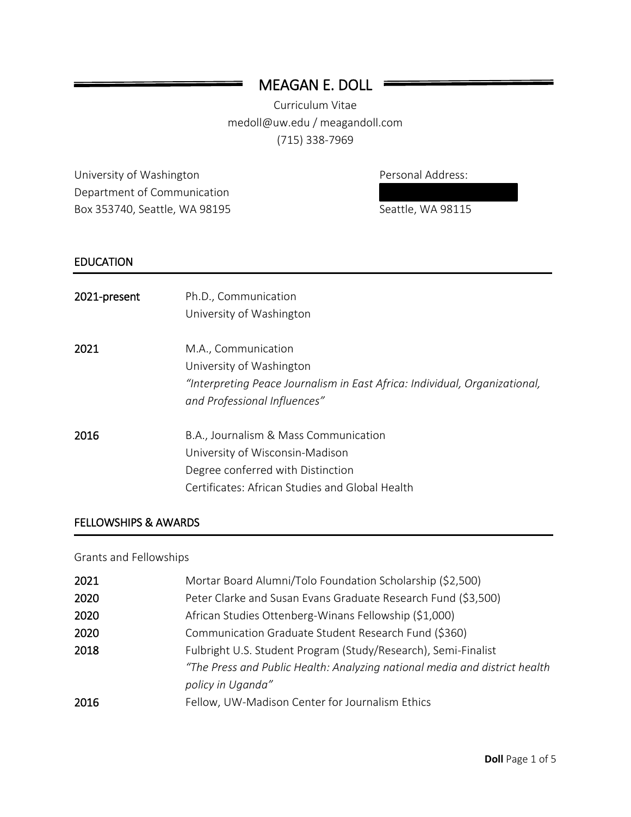# MEAGAN E. DOLL

Ξ

Curriculum Vitae medoll@uw.edu / meagandoll.com (715) 338-7969

University of Washington **Personal Address:** Department of Communication Box 353740, Seattle, WA 98195 Seattle, WA 98115

### EDUCATION

| 2021-present | Ph.D., Communication<br>University of Washington                                                                                                                 |
|--------------|------------------------------------------------------------------------------------------------------------------------------------------------------------------|
| 2021         | M.A., Communication<br>University of Washington<br>"Interpreting Peace Journalism in East Africa: Individual, Organizational,<br>and Professional Influences"    |
| 2016         | B.A., Journalism & Mass Communication<br>University of Wisconsin-Madison<br>Degree conferred with Distinction<br>Certificates: African Studies and Global Health |

#### FELLOWSHIPS & AWARDS

### Grants and Fellowships

| 2021 | Mortar Board Alumni/Tolo Foundation Scholarship (\$2,500)                  |
|------|----------------------------------------------------------------------------|
| 2020 | Peter Clarke and Susan Evans Graduate Research Fund (\$3,500)              |
| 2020 | African Studies Ottenberg-Winans Fellowship (\$1,000)                      |
| 2020 | Communication Graduate Student Research Fund (\$360)                       |
| 2018 | Fulbright U.S. Student Program (Study/Research), Semi-Finalist             |
|      | "The Press and Public Health: Analyzing national media and district health |
|      | policy in Uganda"                                                          |
| 2016 | Fellow, UW-Madison Center for Journalism Ethics                            |
|      |                                                                            |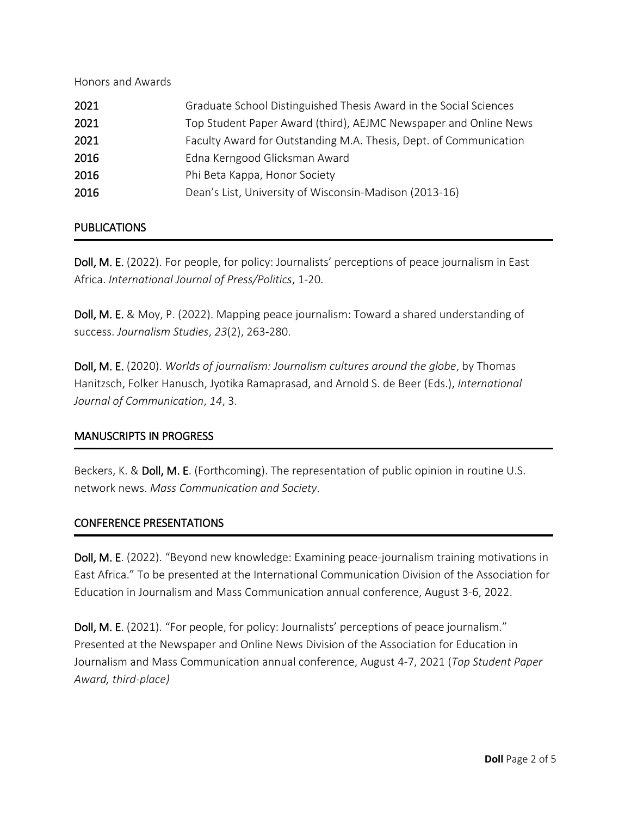Honors and Awards

| Graduate School Distinguished Thesis Award in the Social Sciences |
|-------------------------------------------------------------------|
| Top Student Paper Award (third), AEJMC Newspaper and Online News  |
| Faculty Award for Outstanding M.A. Thesis, Dept. of Communication |
| Edna Kerngood Glicksman Award                                     |
| Phi Beta Kappa, Honor Society                                     |
| Dean's List, University of Wisconsin-Madison (2013-16)            |
|                                                                   |

#### **PUBLICATIONS**

Doll, M. E. (2022). For people, for policy: Journalists' perceptions of peace journalism in East Africa. *International Journal of Press/Politics*, 1-20.

Doll, M. E. & Moy, P. (2022). Mapping peace journalism: Toward a shared understanding of success. *Journalism Studies*, *23*(2), 263-280.

Doll, M. E. (2020). *Worlds of journalism: Journalism cultures around the globe*, by Thomas Hanitzsch, Folker Hanusch, Jyotika Ramaprasad, and Arnold S. de Beer (Eds.), *International Journal of Communication*, *14*, 3.

#### MANUSCRIPTS IN PROGRESS

Beckers, K. & **Doll, M. E**. (Forthcoming). The representation of public opinion in routine U.S. network news. *Mass Communication and Society*.

#### CONFERENCE PRESENTATIONS

٦

Doll, M. E. (2022). "Beyond new knowledge: Examining peace-journalism training motivations in East Africa." To be presented at the International Communication Division of the Association for Education in Journalism and Mass Communication annual conference, August 3-6, 2022.

Doll, M. E. (2021). "For people, for policy: Journalists' perceptions of peace journalism." Presented at the Newspaper and Online News Division of the Association for Education in Journalism and Mass Communication annual conference, August 4-7, 2021 (*Top Student Paper Award, third-place)*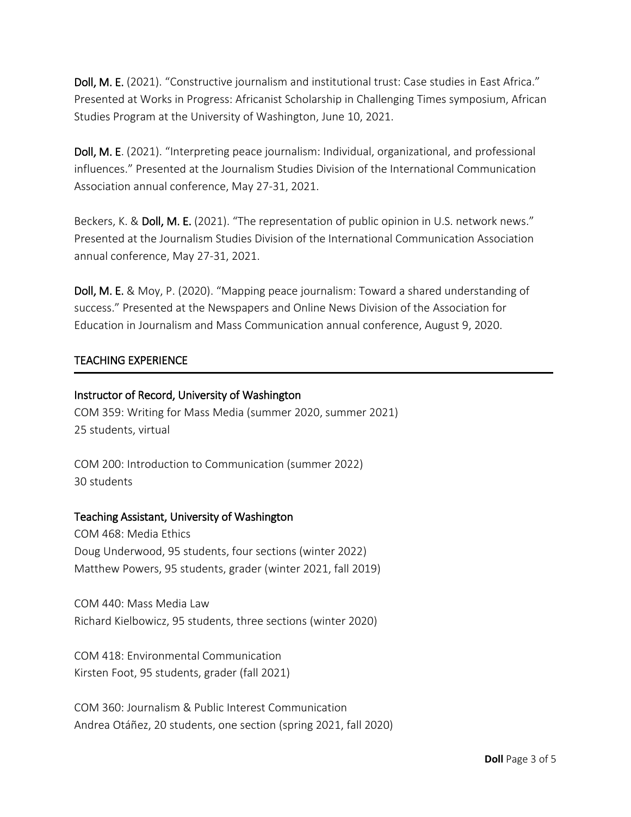Doll, M. E. (2021). "Constructive journalism and institutional trust: Case studies in East Africa." Presented at Works in Progress: Africanist Scholarship in Challenging Times symposium, African Studies Program at the University of Washington, June 10, 2021.

Doll, M. E. (2021). "Interpreting peace journalism: Individual, organizational, and professional influences." Presented at the Journalism Studies Division of the International Communication Association annual conference, May 27-31, 2021.

Beckers, K. & Doll, M. E. (2021). "The representation of public opinion in U.S. network news." Presented at the Journalism Studies Division of the International Communication Association annual conference, May 27-31, 2021.

Doll, M. E. & Moy, P. (2020). "Mapping peace journalism: Toward a shared understanding of success." Presented at the Newspapers and Online News Division of the Association for Education in Journalism and Mass Communication annual conference, August 9, 2020.

### TEACHING EXPERIENCE

### Instructor of Record, University of Washington

COM 359: Writing for Mass Media (summer 2020, summer 2021) 25 students, virtual

COM 200: Introduction to Communication (summer 2022) 30 students

#### Teaching Assistant, University of Washington

COM 468: Media Ethics Doug Underwood, 95 students, four sections (winter 2022) Matthew Powers, 95 students, grader (winter 2021, fall 2019)

COM 440: Mass Media Law Richard Kielbowicz, 95 students, three sections (winter 2020)

COM 418: Environmental Communication Kirsten Foot, 95 students, grader (fall 2021)

COM 360: Journalism & Public Interest Communication Andrea Otáñez, 20 students, one section (spring 2021, fall 2020)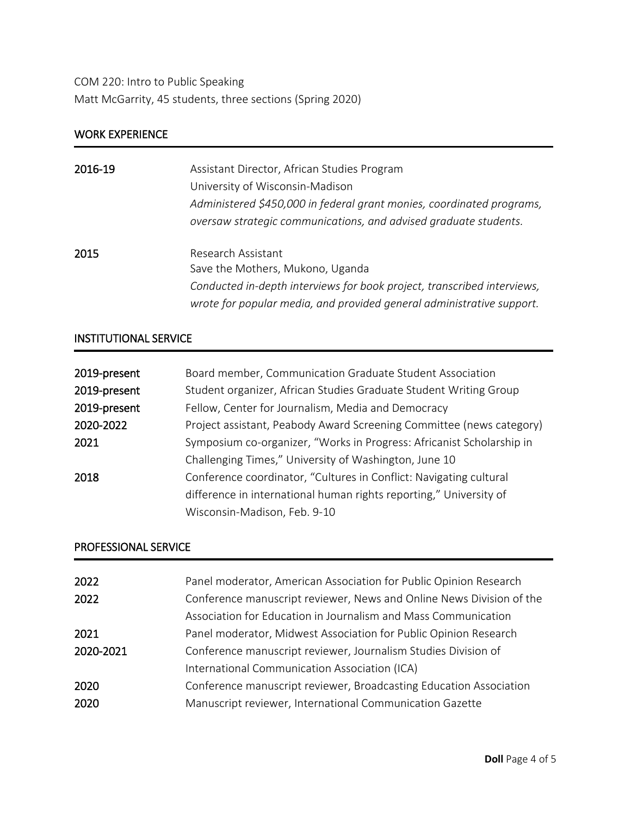COM 220: Intro to Public Speaking Matt McGarrity, 45 students, three sections (Spring 2020)

### WORK EXPERIENCE

| 2016-19 | Assistant Director, African Studies Program<br>University of Wisconsin-Madison<br>Administered \$450,000 in federal grant monies, coordinated programs,<br>oversaw strategic communications, and advised graduate students. |
|---------|-----------------------------------------------------------------------------------------------------------------------------------------------------------------------------------------------------------------------------|
| 2015    | Research Assistant<br>Save the Mothers, Mukono, Uganda<br>Conducted in-depth interviews for book project, transcribed interviews,<br>wrote for popular media, and provided general administrative support.                  |

# INSTITUTIONAL SERVICE

| 2019-present | Board member, Communication Graduate Student Association              |
|--------------|-----------------------------------------------------------------------|
| 2019-present | Student organizer, African Studies Graduate Student Writing Group     |
| 2019-present | Fellow, Center for Journalism, Media and Democracy                    |
| 2020-2022    | Project assistant, Peabody Award Screening Committee (news category)  |
| 2021         | Symposium co-organizer, "Works in Progress: Africanist Scholarship in |
|              | Challenging Times," University of Washington, June 10                 |
| 2018         | Conference coordinator, "Cultures in Conflict: Navigating cultural    |
|              | difference in international human rights reporting," University of    |
|              | Wisconsin-Madison, Feb. 9-10                                          |

## PROFESSIONAL SERVICE

| 2022      | Panel moderator, American Association for Public Opinion Research    |
|-----------|----------------------------------------------------------------------|
| 2022      | Conference manuscript reviewer, News and Online News Division of the |
|           | Association for Education in Journalism and Mass Communication       |
| 2021      | Panel moderator, Midwest Association for Public Opinion Research     |
| 2020-2021 | Conference manuscript reviewer, Journalism Studies Division of       |
|           | International Communication Association (ICA)                        |
| 2020      | Conference manuscript reviewer, Broadcasting Education Association   |
| 2020      | Manuscript reviewer, International Communication Gazette             |